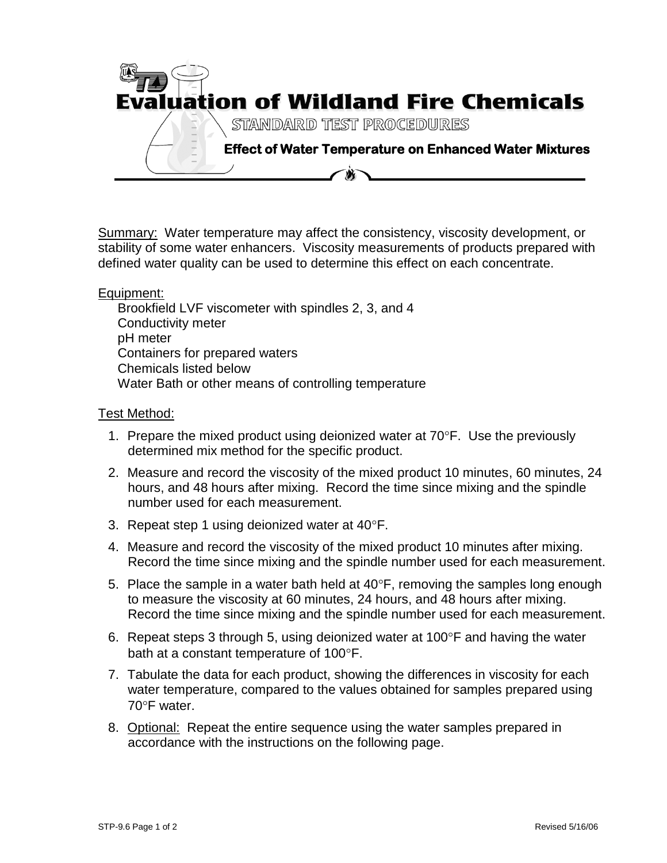

Summary: Water temperature may affect the consistency, viscosity development, or stability of some water enhancers. Viscosity measurements of products prepared with defined water quality can be used to determine this effect on each concentrate.

Equipment:

Brookfield LVF viscometer with spindles 2, 3, and 4 Conductivity meter pH meter Containers for prepared waters Chemicals listed below Water Bath or other means of controlling temperature

## Test Method:

- 1. Prepare the mixed product using deionized water at  $70^{\circ}$ F. Use the previously determined mix method for the specific product.
- 2. Measure and record the viscosity of the mixed product 10 minutes, 60 minutes, 24 hours, and 48 hours after mixing. Record the time since mixing and the spindle number used for each measurement.
- 3. Repeat step 1 using deionized water at  $40^{\circ}$ F.
- 4. Measure and record the viscosity of the mixed product 10 minutes after mixing. Record the time since mixing and the spindle number used for each measurement.
- 5. Place the sample in a water bath held at  $40^{\circ}$ F, removing the samples long enough to measure the viscosity at 60 minutes, 24 hours, and 48 hours after mixing. Record the time since mixing and the spindle number used for each measurement.
- 6. Repeat steps 3 through 5, using deionized water at  $100^{\circ}$ F and having the water bath at a constant temperature of  $100^{\circ}$ F.
- 7. Tabulate the data for each product, showing the differences in viscosity for each water temperature, compared to the values obtained for samples prepared using  $70^{\circ}$ F water.
- 8. Optional: Repeat the entire sequence using the water samples prepared in accordance with the instructions on the following page.